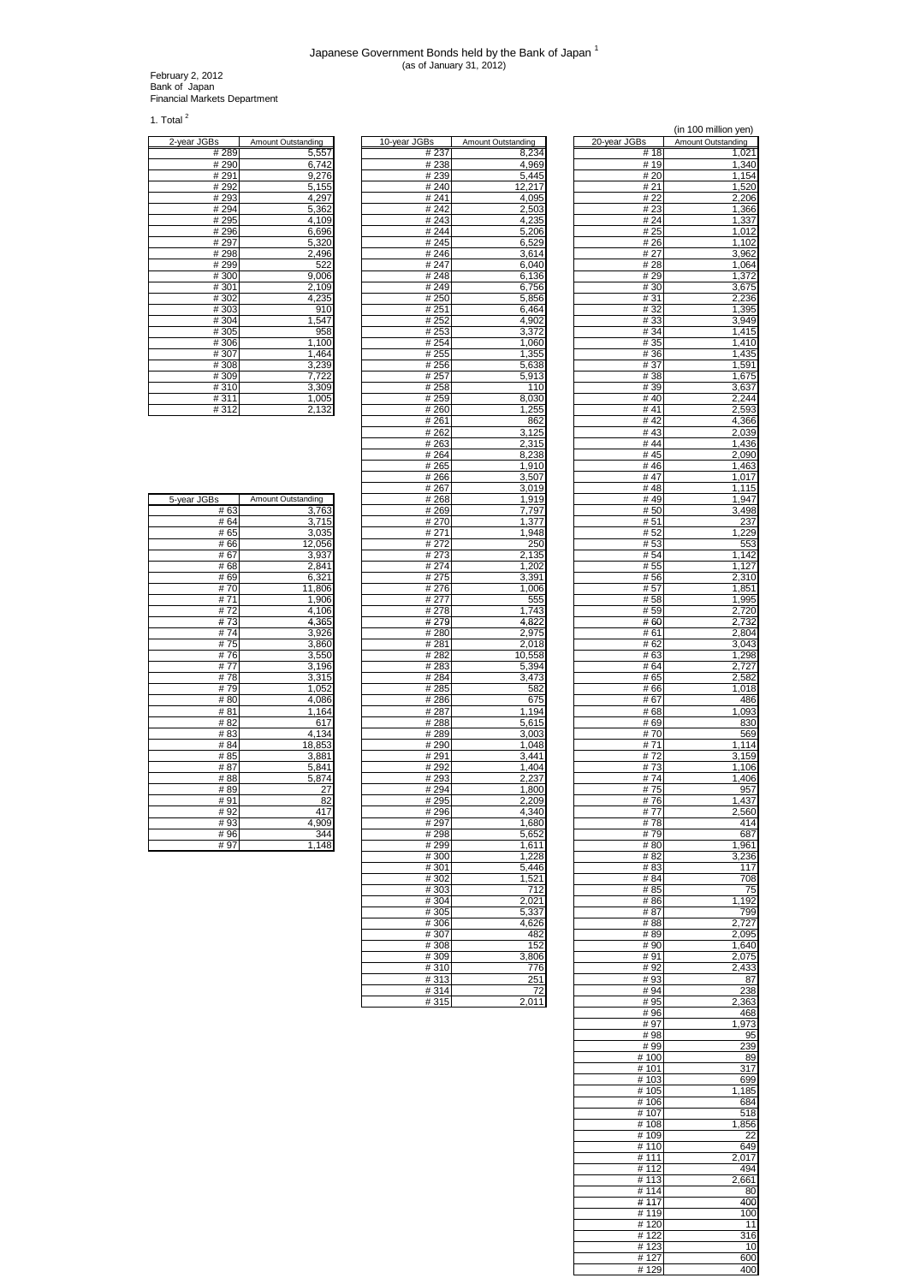February 2, 2012 Bank of Japan Financial Markets Department

1. Total $^2$ 

| 2-year JGBs | Amount Outstanding |
|-------------|--------------------|
| #289        | 5,557              |
| # 290       | 6,742              |
| #291        | 9,276              |
| #292        | 5,155              |
| #293        | 4,297              |
| #294        | 5,362              |
| #295        | 4,109              |
| #296        | 6,696              |
| # 297       | 5,320              |
| #298        | 2,496              |
| #299        | 522                |
| #300        | 9,006              |
| #301        | 2,109              |
| #302        | 4,235              |
| #303        | 910                |
| #304        | 1,547              |
| #305        | 958                |
| #306        | 1,100              |
| #307        | 1,464              |
| #308        | 3,239              |
| #309        | 7,722              |
| #310        | 3,309              |
| #311        | 1,005              |
| #312        | 2,132              |

| #306        | 1,100              | # 254             | 1,060          | # 35       | 1,410          |
|-------------|--------------------|-------------------|----------------|------------|----------------|
| #307        | 1,464              | # 255             | 1,355          | #36        | 1,435          |
| #308        | 3,239              | $\frac{1}{4}$ 256 | 5,638          | # 37       | 1,591          |
| #309        | 7,722              | #257              | 5,913          | # 38       | 1,675          |
| #310        | 3,309              | # 258             | 110            | # 39       | 3,637          |
| #311        | 1.005              | # 259             | 8,030          | #40        | 2,244          |
| #312        | 2,132              | # 260             | 1,255          | # 41       | 2,593          |
|             |                    | #261              | 862            | #42        | 4,366          |
|             |                    | # 262             | 3,125          | #43        | 2,039          |
|             |                    | #263              | 2,315          | #44        | 1,436          |
|             |                    | # 264             | 8,238          | #45        | 2,090          |
|             |                    | #265              | 1,910          | #46        | 1,463          |
|             |                    | #266              | 3,507          | #47        | 1,017          |
|             |                    | #267              | 3,019          | #48        | 1,115          |
| 5-year JGBs | Amount Outstanding | #268              | 1,919          | #49        | 1,947          |
| #63         | 3,763              | #269              | 7,797          | #50        | 3,498          |
| # 64        | 3,715              | # 270             | 1,377          | #51        | 237            |
| #65         | 3,035              | #271              | 1.948          | #52        | 1,229          |
| #66         | 12,056             | # 272             | 250            | #53        | 553            |
| #67         | 3,937              | #273              | 2,135          | # 54       | 1,142          |
| #68         | 2,841              | #274              | 1,202          | # 55       | 1,127          |
| #69         | 6,321              | #275              | 3,391          | #56        | 2,310          |
| #70         | 11,806             | #276              | 1,006          | #57        | 1,851          |
| #71<br>#72  | 1,906              | # 277             | 555            | #58        | 1,995          |
| #73         | 4,106              | #278              | 1.743<br>4.822 | #59<br>#60 | 2,720<br>2,732 |
| #74         | 4,365              | #279              | 2,975          | # 61       | 2,804          |
| #75         | 3,926<br>3,860     | #280<br>#281      | 2,018          | # 62       | 3,043          |
| #76         | 3,550              | #282              | 10,558         | #63        | 1,298          |
| #77         | 3,196              | #283              | 5,394          | # 64       | 2,727          |
| #78         | 3,315              | #284              | 3,473          | #65        | 2,582          |
| #79         | 1,052              | #285              | 582            | # 66       | 1,018          |
| #80         | 4,086              | #286              | 675            | #67        | 486            |
| #81         | 1,164              | #287              | 1,194          | #68        | 1,093          |
| #82         | 617                | #288              | 5,615          | #69        | 830            |
| #83         | 4,134              | #289              | 3,003          | #70        | 569            |
| #84         | 18,853             | #290              | 1.048          | #71        | 1,114          |
| #85         | 3,881              | #291              | 3,441          | #72        | 3,159          |
| #87         | 5,841              | #292              | 1,404          | #73        | 1,106          |
| #88         | 5,874              | #293              | 2,237          | #74        | 1,406          |
| #89         | 27                 | #294              | 1,800          | #75        | 957            |
| #91         | 82                 | #295              | 2,209          | #76        | 1,437          |
| #92         | 417                | #296              | 4,340          | #77        | 2,560          |
| #93         | 4,909              | #297              | 1,680          | #78        | 414            |
| #96         | 344                | #298              | 5,652          | #79        | 687            |
| #97         | 1,148              | #299              | 1,611          | #80        | 1,961          |
|             |                    | #300              | 1,228          | # 82       | 3,236          |
|             |                    | #301              | 5.446          | #83        | 117            |
|             |                    | #302              | 1,521          | # 84       | 708            |
|             |                    | #303              | 712            | # 85       | 75             |
|             |                    | #304              | 2.021          | $#$ 86     | 1 1 0 2        |

|              |                    |               |                    |              | (iii 100 million you). |
|--------------|--------------------|---------------|--------------------|--------------|------------------------|
| 2-year JGBs  | Amount Outstanding | 10-year JGBs  | Amount Outstanding | 20-year JGBs | Amount Outstanding     |
| #289         | 5,557              | #237          | 8,234              | #18          | 1,021                  |
| #290         | 6,742              | #238          | 4,969              | #19          | 1,340                  |
| # 291        | 9,276              | #239          | 5,445              | # 20         | 1,154                  |
| #292         | 5,155              | #240          | 12,217             | # 21         | 1,520                  |
| #293         | 4,297              | #241          | 4,095              | # 22         | 2,206                  |
| #294         | 5,362              | #242          | 2,503              | #23          | 1,366                  |
| #295<br>#296 | 4,109              | # 243<br>#244 | 4,235              | #24          | 1,337                  |
| #297         | 6,696<br>5,320     | #245          | 5,206<br>6,529     | # 25<br># 26 | 1,012<br>1,102         |
| #298         | 2,496              | #246          | 3,614              | # 27         | 3,962                  |
| #299         | 522                | # 247         | 6,040              | #28          | 1,064                  |
| #300         | 9,006              | #248          | 6,136              | #29          | 1,372                  |
| #301         | 2,109              | #249          | 6,756              | # 30         | 3,675                  |
| #302         | 4,235              | #250          | 5,856              | #31          | 2,236                  |
| #303         | 910                | # 251         | 6,464              | #32          | 1,395                  |
| #304         | 1,547              | #252          | 4,902              | # 33         | 3,949                  |
| #305         | 958                | #253          | 3,372              | # 34         | 1,415                  |
| #306         | 1,100              | #254          | 1.060              | # 35         | 1,410                  |
| #307         | 1,464              | # 255         | 1,355              | #36          | 1,435                  |
| #308         | 3,239              | #256          | 5,638              | # 37         | 1,591                  |
| #309         | 7,722              | # 257         | 5,913              | # 38         | 1,675                  |
| #310         | 3,309              | # 258         | 110                | # 39         | 3,637                  |
| #311         | 1,005              | # 259         | 8,030              | #40          | 2,244                  |
| #312         | 2,132              | # 260         | 1,255              | #41          | 2,593                  |
|              |                    | # 261         | 862                | #42          | 4,366                  |
|              |                    | # 262         | 3,125              | #43          | 2,039                  |
|              |                    | # 263         | 2,315              | #44          | 1,436                  |
|              |                    | # 264         | 8,238<br>1.910     | #45          | 2,090                  |
|              |                    | #265          |                    | #46<br>#47   | 1,463                  |
|              |                    | #266<br>#267  | 3,507<br>3,019     | #48          | 1,017<br>1,115         |
| 5-year JGBs  | Amount Outstanding | # 268         | 1,919              | #49          | 1,947                  |
| #63          | 3,763              | # 269         | 7,797              | # 50         | 3,498                  |
| # 64         | 3.715              | # 270         | 1,377              | # 51         | 237                    |
| #65          | 3,035              | #271          | 1,948              | # 52         | 1,229                  |
| #66          | 12,056             | #272          | 250                | #53          | 553                    |
| #67          | 3,937              | #273          | 2,135              | # 54         | 1,142                  |
| #68          | 2,841              | #274          | 1,202              | # 55         | 1,127                  |
| #69          | 6,321              | #275          | 3,391              | #56          | 2,310                  |
| #70          | 11,806             | #276          | 1,006              | # 57         | 1,851                  |
| #71          | 1,906              | # 277         | 555                | # 58         | 1,995                  |
| #72          | 4,106              | # 278         | 1,743              | # 59         | 2,720                  |
| #73          | 4,365              | # 279         | 4,822              | #60          | 2,732                  |
| #74          | 3,926              | #280          | 2,975              | # 61         | 2,804                  |
| #75          | 3,860              | #281          | 2,018              | # 62         | 3,043                  |
| #76          | 3,550              | # 282         | 10,558             | # 63         | 1,298                  |
| #77          | 3,196              | #283          | 5,394              | # 64         | 2,727                  |
| #78          | 3,315              | #284          | 3,473              | #65          | 2,582                  |
| #79          | 1,052              | #285          | 582                | #66          | 1,018                  |
| #80          | 4,086              | #286          | 675                | #67          | 486                    |
| #81<br>#82   | 1,164<br>617       | # 287<br>#288 | 1,194<br>5,615     | # 68<br>#69  | 1,093<br>830           |
| #83          | 4,134              | #289          | 3,003              | #70          | 569                    |
| #84          | 18,853             | #290          | 1.048              | #71          | 1,114                  |
| # 85         | 3,881              | # 291         | 3,441              | #72          | 3,159                  |
| #87          | 5,841              | #292          | 1,404              | #73          | 1,106                  |
| #88          | 5,874              | #293          | 2,237              | #74          | 1,406                  |
| #89          | 27                 | #294          | 1,800              | #75          | 957                    |
| #91          | 82                 | #295          | 2,209              | #76          | 1,437                  |
| #92          | 417                | #296          | 4,340              | #77          | 2,560                  |
| #93          | 4,909              | #297          | 1,680              | #78          | 414                    |
| # 96         | 344                | #298          | 5,652              | #79          | 687                    |
| #97          | 1,148              | #299          | 1,611              | #80          | 1,961                  |
|              |                    | #300          | 1,228              | # 82         | 3,236                  |
|              |                    | #301          | 5,446              | #83          | 117                    |
|              |                    | #302          | 1,521              | # 84         | 708                    |
|              |                    | #303          | 712                | # 85         | 75                     |
|              |                    | # 304         | 2,021              | # 86         | 1,192                  |
|              |                    | #305          | 5,337              | # 87         | 799                    |
|              |                    | #306          | 4,626<br>482       | # 88<br># 89 | 2,727                  |
|              |                    | #307<br>#308  | 152                | #90          | 2,095<br>1,640         |
|              |                    | #309          | 3,806              | #91          | 2,075                  |
|              |                    | #310          | 776                | #92          | 2,433                  |
|              |                    | #313          | 251                | #93          | 87                     |
|              |                    | #314          | 72                 | #94          | 238                    |
|              |                    | #315          | 2,011              | # 95         | 2,363                  |
|              |                    |               |                    | #96          | 468                    |

|                          |                             |                      | (in 100 million yen)        |
|--------------------------|-----------------------------|----------------------|-----------------------------|
| Зs<br># 237              | Amount Outstanding<br>8,234 | 20-year JGBs<br># 18 | Amount Outstanding<br>1,021 |
| #238                     | 4,969                       | #19                  | 1,340                       |
| # 239<br>#240            | 5,445<br>12,217             | # 20<br># 21         | 1,154<br>1,520              |
| # 241                    | 4,095                       | # 22                 | 2,206                       |
| #242<br>#243             | 2,503<br>4,235              | #23<br># 24          | 1,366<br>1,337              |
| #244                     | 5,206                       | # 25                 | 1,012                       |
| # 245                    | 6,529                       | # 26                 | 1,102                       |
| #246<br># 247            | 3,614<br>6,040              | # 27<br>#28          | 3,962<br>1,064              |
| #248                     | 6,136                       | #29                  | 1,372                       |
| #249<br># 250            | 6,756<br>5,856              | # 30<br>#31          | 3,675<br>2,236              |
| #251                     | 6,464                       | #32                  | 1,395                       |
| # 252<br># 253           | 4,902<br>3,372              | #33<br>#34           | 3,949<br>1,415              |
| # 254                    | 1,060                       | # 35                 | 1,410                       |
| # 255                    | 1,355                       | #36                  | 1,435                       |
| # 256<br># 257           | 5,638<br>5,913              | # 37<br>#38          | 1,591<br>1,675              |
| # 258                    | 110                         | #39                  | 3,637                       |
| # 259<br># 260           | 8,030<br>1,255              | # 40<br># 41         | 2,244<br>2,593              |
| # 261                    | 862                         | #42                  | 4,366                       |
| # 262<br># 263           | 3,125<br>2,315              | #43<br>#44           | 2,039<br>1,436              |
| # 264                    | 8,238                       | #45                  | 2,090                       |
| # 265                    | 1,910                       | #46                  | 1,463                       |
| # 266<br>#267            | 3,507<br>3,019              | #47<br>#48           | 1,017<br>1,115              |
| #268                     | 1,919                       | #49                  | 1,947                       |
| # 269<br># 270           | 7,797<br>1,377              | # 50<br># 51         | 3,498<br>237                |
| #271                     | 1,948                       | #52                  | 1,229                       |
| # 272<br>#273            | 250                         | # 53<br># 54         | 553                         |
| # 274                    | 2,135<br>1,202              | # 55                 | 1,142<br>1,127              |
| # 275                    | 3,391                       | # 56                 | 2,310                       |
| #276<br># 277            | 1,006<br>555                | #57<br>#58           | 1,851<br>1,995              |
| # 278                    | 1,743                       | #59                  | 2,720                       |
| # 279<br>#280            | 4,822<br>2,975              | # 60<br># 61         | 2,732<br>2,804              |
| # 281                    | 2,018                       | # 62                 | 3,043                       |
| # 282                    | 10,558                      | # 63                 | 1,298                       |
| # 283<br>#284            | 5,394<br>3,473              | # 64<br># 65         | 2,727<br>2,582              |
| #285                     | 582                         | #66                  | 1,018                       |
| #286<br># 287            | 675<br>1,194                | #67<br>#68           | 486<br>1,093                |
| #288                     | 5,615                       | #69                  | 830                         |
| # 289<br>#290            | 3,003<br>1,048              | # 70<br># 71         | 569<br>1,114                |
| #291                     | 3,441                       | #72                  | 3,159                       |
| #292<br>#293             | 1,404<br>2,237              | #73<br># 74          | 1,106<br>1,406              |
| #294                     | 1,800                       | #75                  | 957                         |
| # 295                    | 2,209                       | #76                  | 1,437                       |
| # 296<br># 297           | 4,340<br>1,680              | # 77<br>#78          | 2,560<br>414                |
| #298                     | 5,652                       | #79                  | 687                         |
| #299<br>#300             | 1,611<br>1,228              | # 80<br># 82         | 1,961<br>3,236              |
| #301                     | 5,446                       | #83                  | 117                         |
| # 302<br>#303            | 1,521<br>712                | # 84<br># 85         | 708<br>75                   |
| #304                     | 2,021                       | # 86                 | 1,192                       |
| #305                     | 5,337                       | # 87                 | 799                         |
| # 306<br># 307           | 4,626<br>482                | # 88<br>#89          | 2,727<br>2,095              |
| # 308                    | 152                         | #90                  | 1,640                       |
| #309<br>#310             | 3,806<br>776                | #91<br>#92           | 2,075<br>2,433              |
| #313                     | 251                         | #93                  | 87                          |
| $\frac{1}{4}314$<br>#315 | 72<br>2,011                 | #94<br>#95           | 238<br>2,363                |
|                          |                             | #96                  | 468                         |
|                          |                             | #97<br>#98           | 1,973                       |
|                          |                             | #99                  | 95<br>239                   |
|                          |                             | # 100                | 89                          |
|                          |                             | # 101<br>#103        | 317<br>699                  |
|                          |                             | # 105                | 1,185                       |
|                          |                             | #106<br># 107        | 684<br>518                  |
|                          |                             | #108                 | 1,856                       |
|                          |                             | # 109<br>#110        | 22<br>649                   |
|                          |                             | # 111                | 2,017                       |
|                          |                             | # 112                | 494                         |
|                          |                             | # 113<br># 114       | 2,661<br>80                 |
|                          |                             | #117                 | 400                         |
|                          |                             | #119<br># 120        | 100<br>11                   |
|                          |                             | #122                 | 316                         |
|                          |                             | #123<br># 127        | 10<br>600                   |
|                          |                             | #129                 | 400                         |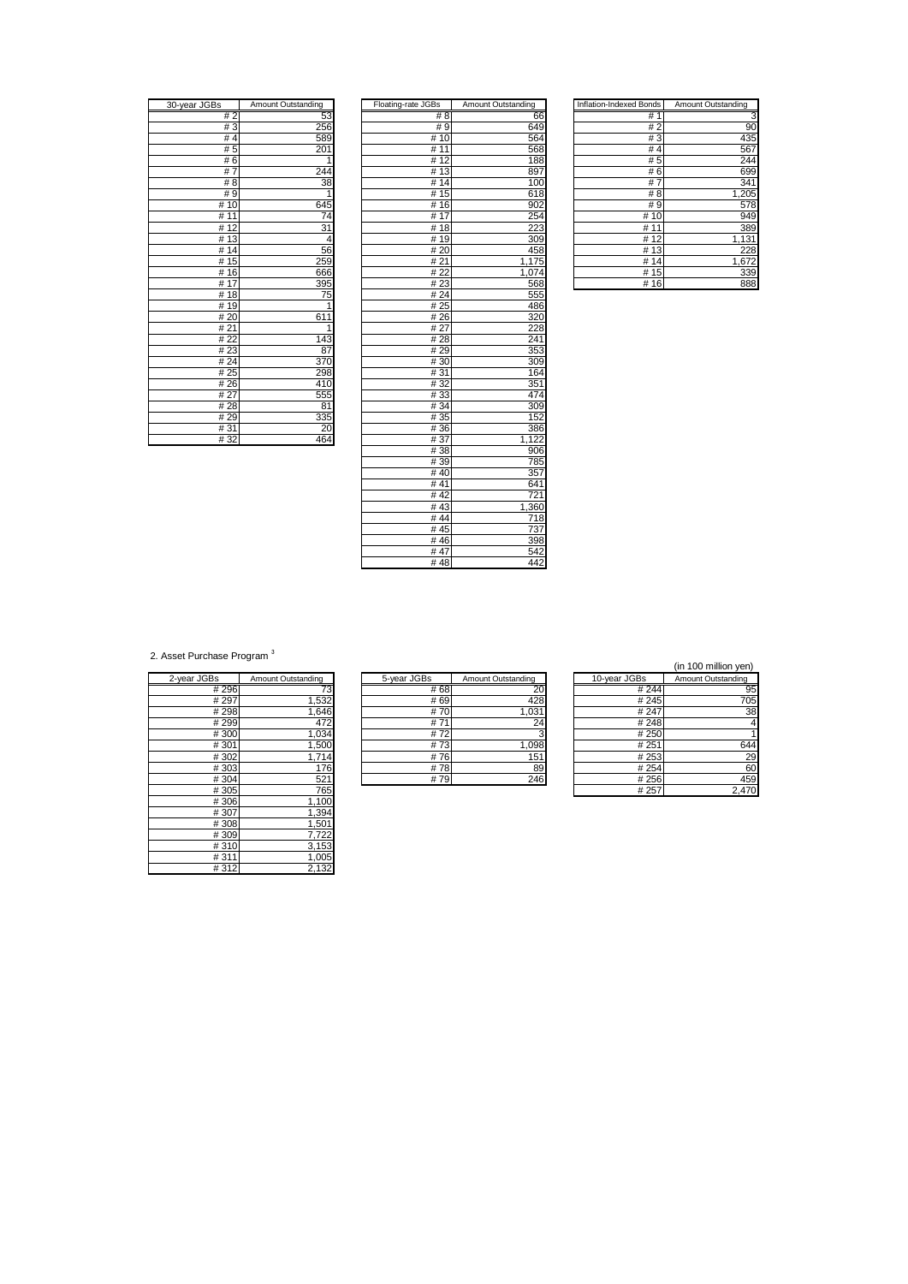| 30-year JGBs        | Amount Outstanding |
|---------------------|--------------------|
| #2                  | 53                 |
| #3                  | 256                |
| #4                  | 589                |
| # 5                 | 201                |
| #6                  | 1                  |
| $\overline{7}$<br># | 24<br>4            |
| # 8                 | 38                 |
| # 9                 | 1                  |
| #10                 | 645                |
| 11<br>#             | $\overline{74}$    |
| 12<br>#             | 31                 |
| 13<br>#             | 4                  |
| 14<br>#             | 56                 |
| 15<br>#             | 259                |
| 16<br>#             | 666                |
| 17<br>#             | 395                |
| #18                 | 75                 |
| -19<br>#            |                    |
| # 20                | 611                |
| # 21                | $\overline{1}$     |
| # 22                | 143                |
| #23                 | 87                 |
| 24<br>#             | 37                 |
| 25<br>#             | 298                |
| 26<br>#             | 41                 |
| # 27                | 555                |
| 28<br>#             | 81                 |
| #29                 | 335                |
| #31                 | $\overline{c}$     |
| # 32                | 464                |

| 30-year JGBs | Amount Outstanding | Floating-rate JGBs | Amount Outstanding | <b>Inflation-Indexed Bonds</b> | Amount Outstanding |
|--------------|--------------------|--------------------|--------------------|--------------------------------|--------------------|
| #2           | 53                 | # 8                | 66                 | #1                             | З                  |
| #3           | 256                | # 9                | 649                | #2                             | 90                 |
| # $4$        | 589                | #10                | 564                | #3                             | 435                |
| #5           | 201                | #11                | 568                | # $4$                          | 567                |
| #6           |                    | #12                | 188                | #5                             | 244                |
| #7           | 244                | #13                | 897                | #6                             | 699                |
| #8           | 38                 | #14                | 100                | #7                             | 341                |
| #9           | 1                  | #15                | 618                | #8                             | 1,205              |
| #10          | 645                | #16                | 902                | #9                             | 578                |
| #11          | 74                 | #17                | 254                | #10                            | 949                |
| #12          | 31                 | #18                | 223                | # 11                           | 389                |
| #13          | 4                  | #19                | 309                | #12                            | 1,131              |
| #14          | 56                 | #20                | 458                | #13                            | 228                |
| #15          | 259                | #21                | 1,175              | #14                            | 1,672              |
| #16          | 666                | #22                | 1,074              | #15                            | 339                |
| #17          | 395                | #23                | 568                | #16                            | 888                |
| #18          | 75                 | #24                | 555                |                                |                    |
| #19          | 1                  | #25                | 486                |                                |                    |
| #20          | 611                | #26                | 320                |                                |                    |
| #21          | 1                  | #27                | 228                |                                |                    |
| #22          | 143                | #28                | 241                |                                |                    |
| #23          | 87                 | #29                | 353                |                                |                    |
| # 24         | 370                | #30                | 309                |                                |                    |
| #25          | 298                | #31                | 164                |                                |                    |
| #26          | 410                | #32                | 351                |                                |                    |
| #27          | 555                | #33                | 474                |                                |                    |
| #28          | 81                 | # 34               | 309                |                                |                    |
| #29          | 335                | #35                | 152                |                                |                    |
| #31          | 20                 | # 36               | 386                |                                |                    |
| #32          | 464                | #37                | 1,122              |                                |                    |
|              |                    | #38                | 906                |                                |                    |
|              |                    | #39                | 785                |                                |                    |
|              |                    | #40                | 357                |                                |                    |
|              |                    | #41                | 641                |                                |                    |
|              |                    | #42                | 721                |                                |                    |
|              |                    | #43                | 1,360              |                                |                    |
|              |                    | #44                | 718                |                                |                    |
|              |                    | #45                | 737                |                                |                    |
|              |                    | #46                | 398                |                                |                    |
|              |                    | #47                | 542                |                                |                    |
|              |                    | #48                | 442                |                                |                    |

| Inflation-Indexed Bonds | Amount Outstanding |
|-------------------------|--------------------|
| #<br>1                  |                    |
| $\overline{2}$<br>#     | 90                 |
| #3                      | 435                |
| #<br>$\overline{4}$     | 567                |
| # 5                     | 244                |
| #<br>6                  | 699                |
| #<br>7                  | 341                |
| #<br>8                  | 1,205              |
| # 9                     | 578                |
| # 10                    | 949                |
| #<br>11                 | 389                |
| #<br>12                 | 1,131              |
| #<br>13                 | 228                |
| #<br>14                 | 1,672              |
| 15<br>#                 | 339                |
| 16<br>#                 | 888                |

2. Asset Purchase Program<sup>3</sup>

| 2-year JGBs | Amount Outstanding |
|-------------|--------------------|
| #296        | 73                 |
| # 297       | 1,532              |
| #298        | 1,646              |
| # 299       | 472                |
| #300        | 1,034              |
| #301        | 1,500              |
| #302        | 1,714              |
| #303        | 176                |
| #304        | 521                |
| #305        | 765                |
| #306        | 1,100              |
| #307        | 1,394              |
| #308        | 1,501              |
| #309        | 7,722              |
| #310        | 3,153              |
| #311        | 1,005              |
| #312        | 2,132              |

| Amount Outstanding | 10-year JGBs | Amount Outstanding | 5-year JGBs | Amount Outstanding | 2-year JGBs |
|--------------------|--------------|--------------------|-------------|--------------------|-------------|
|                    | # 244        | 20                 | # 68        |                    | #296        |
|                    | #245         | 428                | # 69        | .532               | # 297       |
|                    | # 247        | 1,031              | #70         | ,646               | #298        |
|                    | #248         | 24                 | #7          | 472                | #299        |
|                    | # 250        |                    | #72         | .034               | #300        |
|                    | #251         | 0.098              | #73         | .,500              | #301        |
|                    | # 253        | 151                | #76         | 714                | #302        |
|                    | # 254        | 89                 | #78         | 76                 | #303        |
|                    | # 256        | 246                | # 79        | 521                | #304        |

|--|

| iS.   | Amount Outstanding | 5-year JGBs     | Amount Outstanding | 10-year JGBs | Amount Outstanding |
|-------|--------------------|-----------------|--------------------|--------------|--------------------|
| # 296 | 73                 | # 68            | 20                 | #244         | 95                 |
| # 297 | ,532               | # 69            | 428                | #245         | 705                |
| # 298 | .646               | #70             | .031               | # 247        | 38                 |
| #299  | 472                | #7 <sup>.</sup> | 24                 | #248         |                    |
| #300  | ,034               | #72             |                    | # 250        |                    |
| #301  | ,500               | #73             | 800,1              | #251         | 644                |
| #302  | 1,714              | #76             | 151                | # 253        | 29                 |
| #303  | 176                | #78             | 89                 | # 254        | 60                 |
| #304  | 521                | #79             | 246                | #256         | 459                |
| #305  | 765                |                 |                    | # 257        | 2,470              |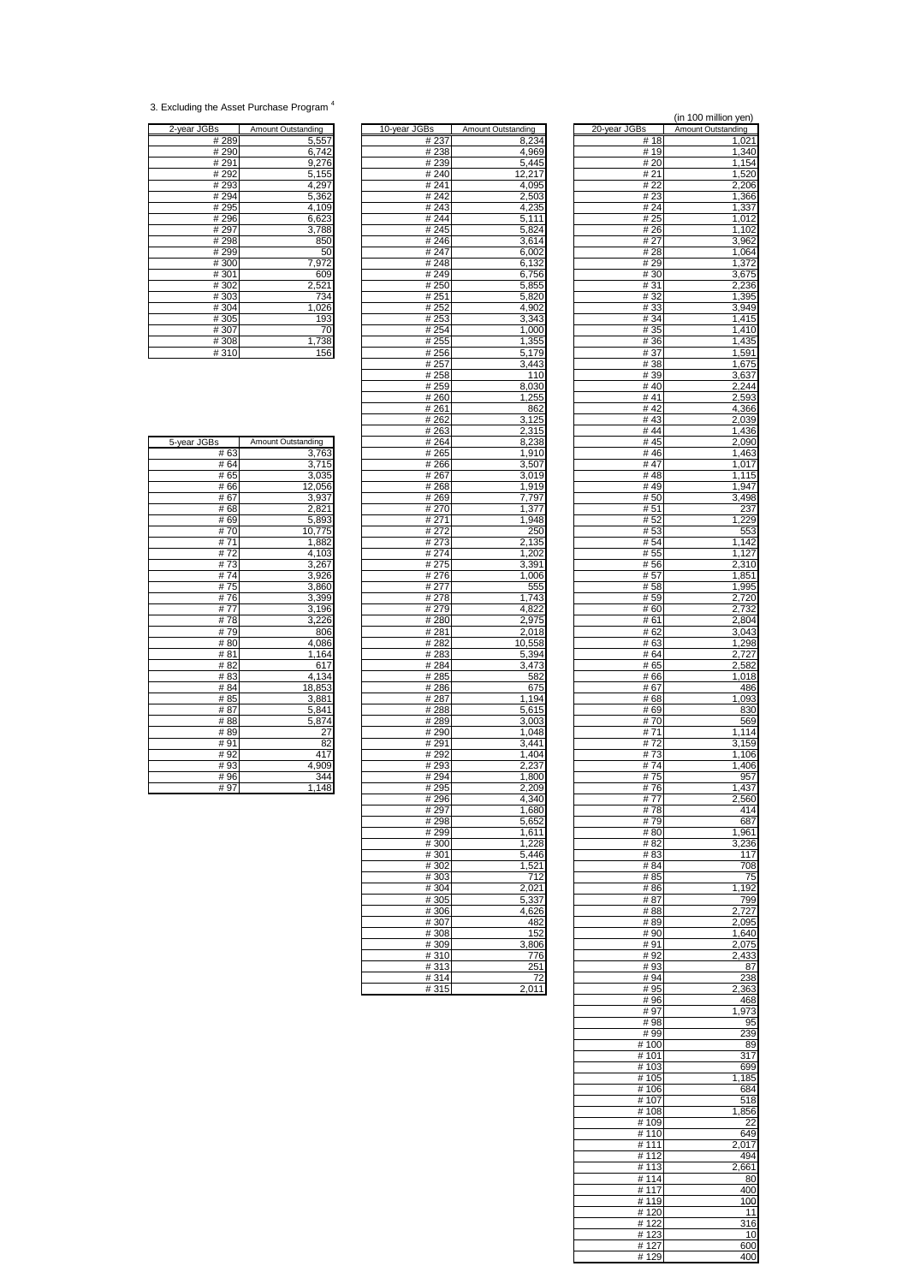<sup>3.</sup> Excluding the Asset Purchase Program <sup>4</sup>

| 2-year JGBs | Amount Outstanding |
|-------------|--------------------|
| #289        | 5,557              |
| #290        | 6,742              |
| #291        | 9,276              |
| #292        | 5,155              |
| #293        | 4,297              |
| #294        | 5,362              |
| #295        | 4,109              |
| #296        | 6,623              |
| # 297       | 3,788              |
| #298        | 850                |
| #299        | 50                 |
| #300        | 7,972              |
| #301        | 609                |
| #302        | 2,521              |
| #303        | 734                |
| #304        | 1,026              |
| #305        | 193                |
| #307        | 70                 |
| #308        | 1,738              |
| #310        | 156                |

| 2-year JGBs | Amount Outstanding | 10-year JGBs | Amount Outstanding | 20-year JGBs | Amount Outstanding |
|-------------|--------------------|--------------|--------------------|--------------|--------------------|
| # 289       | 5,557              | # 237        | 8,234              | # 18         | 1,021              |
| # 290       | 6,742              | #238         | 4,969              | #19          | 1,340              |
| #291        | 9,276              | #239         | 5,445              | # 20         |                    |
| # 292       | 5,155              | #240         | 12,217             | # 21         | 1,154              |
|             |                    |              |                    | #22          | 1,520              |
| #293        | 4,297              | #241         | 4,095              |              | 2,206              |
| #294        | 5,362              | #242         | 2,503              | #23          | 1,366              |
| #295        | 4,109              | #243         | 4,235              | # 24         | 1,337              |
| #296        | 6,623              | #244         | 5,111              | # 25         | 1,012              |
| # 297       | 3,788              | #245         | 5,824              | # 26         | 1,102              |
| #298        | 850                | #246         | 3,614              | # 27         | 3,962              |
| #299        | 50                 | # 247        | 6,002              | #28          | 1,064              |
| #300        | 7,972              | #248         | 6,132              | #29          | 1,372              |
| #301        | 609                | #249         | 6,756              | # 30         | 3,675              |
| #302        | 2,521              | #250         | 5,855              | #31          | 2,236              |
| #303        | 734                | #251         | 5,820              | #32          | 1,395              |
| #304        | 1,026              | #252         | 4,902              | #33          | 3,949              |
| #305        | 193                |              |                    | # 34         |                    |
|             |                    | #253         | 3,343              |              | 1,415              |
| #307        | 70                 | # 254        | 1,000              | # 35         | 1,410              |
| #308        | 738                | # 255        | 1,355              | #36          | 1,435              |
| #310        | 156                | # 256        | 5,179              | # 37         | 1,591              |
|             |                    | # 257        | 3,443              | #38          | 1,675              |
|             |                    | #258         | 110                | # 39         | 3,637              |
|             |                    | #259         | 8,030              | #40          | 2,244              |
|             |                    | #260         | 1,255              | #41          | 2,593              |
|             |                    | #261         | 862                | #42          | 4,366              |
|             |                    | # 262        | 3,125              | #43          | 2,039              |
|             |                    | #263         | 2,315              | #44          | 1,436              |
| 5-year JGBs | Amount Outstanding | # 264        | 8,238              | # 45         | 2,090              |
|             |                    |              |                    | #46          |                    |
| #63         | 3,763              | # 265        | 1,910              |              | 1,463              |
| #64         | 3,715              | # 266        | 3,507              | #47          | 1,017              |
| #65         | 3,035              | # 267        | 3,019              | #48          | 1,115              |
| #66         | 12,056             | #268         | 1.919              | #49          | 1,947              |
| #67         | 3,937              | #269         | 7,797              | #50          | 3,498              |
| #68         | 2,821              | # 270        | 1,377              | # 51         | 237                |
| #69         | 5,893              | # 271        | 1,948              | # 52         | 1,229              |
| #70         | 10,775             | # 272        | 250                | # 53         | 553                |
| #71         | 1,882              | #273         | 2,135              | #54          | 1,142              |
| #72         | 4,103              | # 274        | 1,202              | # 55         | 1,127              |
| #73         | 3,267              | #275         | 3,391              | #56          | 2,310              |
| #74         | 3,926              | #276         | 1,006              | #57          | 1,851              |
| #75         | 3,860              | # 277        | 555                | #58          | 1,995              |
| #76         | 3,399              | #278         | 1,743              | # 59         | 2,720              |
|             |                    |              |                    |              |                    |
| #77         | 3,196              | # 279        | 4,822              | #60          | 2,732              |
| #78         | 3,226              | #280         | 2,975              | # 61         | 2,804              |
| #79         | 806                | # 281        | 2,018              | # 62         | 3,043              |
| #80         | 4,086              | # 282        | 10,558             | # 63         | 1,298              |
| #81         | 1,164              | # 283        | 5,394              | # 64         | 2,727              |
| #82         | 617                | #284         | 3,473              | # 65         | 2,582              |
| #83         | 4,134              | #285         | 582                | #66          | 1,018              |
| #84         | 18,853             | #286         | 675                | #67          | 486                |
| #85         | 3,881              | #287         | 1,194              | # 68         | 1,093              |
| #87         | 5,841              | #288         | 5,615              | #69          | 830                |
| #88         | 5,874              | #289         | 3,003              | #70          | 569                |
| #89         | 27                 | # 290        | 1,048              | #71          | 1,114              |
| #91         | 82                 | #291         | 3,441              | #72          | 3,159              |
|             | 417                |              | 1,404              |              |                    |
| #92         |                    | #292         |                    | #73          | 1,106              |
| #93         | 4,909              | #293         | 2,237              | #74          | 1,406              |
| #96         | 344                | #294         | 1,800              | #75          | 957                |
| #97         | 1,148              | #295         | 2,209              | #76          | 1,437              |
|             |                    | #296         | 4,340              | #77          | 2,560              |
|             |                    | # 297        | 1,680              | #78          | 414                |
|             |                    | #298         | 5,652              | #79          | 687                |
|             |                    | #299         | 1,611              | #80          | 1,961              |
|             |                    | #300         | 1,228              | # 82         | 3,236              |
|             |                    | #301         | 5,446              | #83          | 117                |
|             |                    | #302         | 1,521              | # 84         | 708                |
|             |                    | #303         | 712                | # 85         | 75                 |
|             |                    |              |                    |              |                    |
|             |                    | #304         | 2,021              | #86          | 1,192              |
|             |                    | #305         | 5,337              | #87          | 799                |
|             |                    | #306         | 4,626              | #88          | 2,727              |
|             |                    | #307         | 482                | #89          | 2,095              |
|             |                    | #308         | 152                | #90          | 1,640              |
|             |                    | #309         | 3,806              | #91          | 2,075              |
|             |                    | #310         | 776                | #92          | 2,433              |
|             |                    | #313         | 251                | #93          | 87                 |
|             |                    | #314         | 72                 | #94          | 238                |
|             |                    | #315         | 2,011              | #95          | 2,363              |
|             |                    |              |                    |              |                    |

| Зs             | Amount Outstanding | 20-year JGBs   | (in 100 million yen)<br>Amount Outstanding |
|----------------|--------------------|----------------|--------------------------------------------|
| # 237          | 8,234              | # 18           | 1,021                                      |
| # 238          | 4,969              | # 19           | 1,340                                      |
| # 239          | 5,445              | # 20           | 1,154                                      |
| # 240<br>#241  | 12,217<br>4,095    | # 21<br># 22   | 1,520<br>2,206                             |
| # 242          | 2,503              | # 23           | 1,366                                      |
| # 243          | 4,235              | # 24           | 1,337                                      |
| #244           | 5,111              | # 25           | 1,012                                      |
| # 245<br>#246  | 5,824<br>3,614     | # 26<br># 27   | 1,102<br>3,962                             |
| # 247          | 6,002              | # 28           | 1,064                                      |
| #248           | 6,132              | #29            | 1,372                                      |
| #249           | 6,756              | #30            | 3,675                                      |
| # 250<br># 251 | 5,855<br>5,820     | #31<br># 32    | 2,236<br>1,395                             |
| # 252          | 4,902              | #33            | 3,949                                      |
| # 253          | 3,343              | #34            | 1,415                                      |
| # 254<br># 255 | 1,000<br>1,355     | # 35<br>#36    | 1,410<br>1,435                             |
| # 256          | 5,179              | # 37           | 1,591                                      |
| # 257          | 3,443              | # 38           | 1,675                                      |
| # 258          | 110                | #39            | 3,637                                      |
| # 259<br># 260 | 8,030<br>1,255     | # 40<br>#41    | 2,244<br>2,593                             |
| # 261          | 862                | #42            | 4,366                                      |
| # 262          | 3,125              | # 43           | 2,039                                      |
| # 263          | 2,315              | #44            | 1,436                                      |
| # 264<br># 265 | 8,238<br>1,910     | # 45<br>#46    | 2,090<br>1,463                             |
| # 266          | 3,507              | #47            | 1,017                                      |
| # 267          | 3,019              | #48            | 1,115                                      |
| # 268<br>#269  | 1,919<br>7,797     | #49<br>#50     | 1,947<br>3,498                             |
| # 270          | 1,377              | # 51           | 237                                        |
| #271           | 1,948              | # 52           | 1,229                                      |
| # 272          | 250                | #53            | 553                                        |
| # 273<br># 274 | 2,135<br>1,202     | # 54<br># 55   | 1,142<br>1,127                             |
| # 275          | 3,391              | #56            | 2,310                                      |
| # 276          | 1,006              | # 57           | 1,851                                      |
| # 277          | 555<br>1,743       | #58            | 1,995                                      |
| # 278<br># 279 | 4,822              | #59<br># 60    | 2,720<br>2,732                             |
| #280           | 2,975              | # 61           | 2,804                                      |
| # 281          | 2,018              | # 62           | 3,043                                      |
| # 282          | 10,558             | # 63<br># 64   | 1,298                                      |
| # 283<br># 284 | 5,394<br>3,473     | # 65           | 2,727<br>2,582                             |
| # 285          | 582                | #66            | 1,018                                      |
| #286           | 675                | #67            | 486                                        |
| # 287<br>#288  | 1,194<br>5,615     | # 68<br># 69   | 1,093<br>830                               |
| # 289          | 3,003              | #70            | 569                                        |
| # 290          | 1,048              | # 71           | 1,114                                      |
| # 291<br># 292 | 3,441<br>1,404     | #72<br># 73    | 3,159<br>1,106                             |
| # 293          | 2,237              | #74            | 1,406                                      |
| #294           | 1,800              | #75            | 957                                        |
| # 295          | 2,209<br>4,340     | #76            | 1,437<br>2,560                             |
| #296<br># 297  | 1,680              | #77<br>#78     | 414                                        |
| #298           | 5,652              | #79            | 687                                        |
| # 299          | 1,611              | #80            | 1,961                                      |
| #300<br>#301   | 1,228<br>5,446     | # 82<br># 83   | 3,236<br>117                               |
| #302           | 1,521              | #84            | 708                                        |
| #303           | 712                | #85            | 75                                         |
| # 304          | 2,021              | #86            | 1,192                                      |
| #305<br>#306   | 5,337<br>4,626     | #87<br>#88     | 799<br>2,727                               |
| #307           | 482                | #89            | 2,095                                      |
| #308           | 152                | # 90           | 1,640                                      |
| # 309<br>#310  | 3,806<br>776       | #91<br>#92     | 2.075<br>2,433                             |
| #313           | 251                | #93            | 87                                         |
| #314           | 72                 | #94            | 238                                        |
| #315           | 2,011              | #95<br>#96     | 2,363<br>468                               |
|                |                    | #97            | 1,973                                      |
|                |                    | #98            | 95                                         |
|                |                    | #99            | 239                                        |
|                |                    | #100<br># 101  | 89<br>317                                  |
|                |                    | # 103          | 699                                        |
|                |                    | # 105          | 1,185                                      |
|                |                    | #106           | 684                                        |
|                |                    | # 107<br>#108  | 518<br>1,856                               |
|                |                    | #109           | 22                                         |
|                |                    | #110           | 649                                        |
|                |                    | # 111<br># 112 | 2,017<br>494                               |
|                |                    | # 113          | 2,661                                      |
|                |                    | # 114          | 80                                         |
|                |                    | #117           | 400                                        |
|                |                    | #119<br>#120   | 100<br>11                                  |
|                |                    | #122           | 316                                        |
|                |                    | #123           | 10                                         |
|                |                    | #127<br>#129   | 600<br>400                                 |
|                |                    |                |                                            |

| 5-year JGBs | Amount Outstanding |
|-------------|--------------------|
| #63         | 3,763              |
| # 64        | 3,715              |
| # 65        | 3,035              |
| #66         | 12,056             |
| # 67        | 3,937              |
| #68         | 2,821              |
| #69         | 5,893              |
| #70         | 10,775             |
| #71         | 1,882              |
| #72         | 4,103              |
| #73         | 3,267              |
| #74         | 3,926              |
| #75         | 3,860              |
| #76         | 3,399              |
| # 77        | 3,196              |
| #78         | 3,226              |
| #79         | 806                |
| #80         | 4,086              |
| #81         | 1,164              |
| # 82        | 617                |
| # 83        | 4,134              |
| #84         | 18,853             |
| # 85        | 3,881              |
| #87         | 5,841              |
| #88         | 5,874              |
| #89         | $\overline{27}$    |
| #91         | 82                 |
| #92         | 417                |
| #93         | 4,909              |
| #96         | 344                |
| # 97        | 148<br>1           |